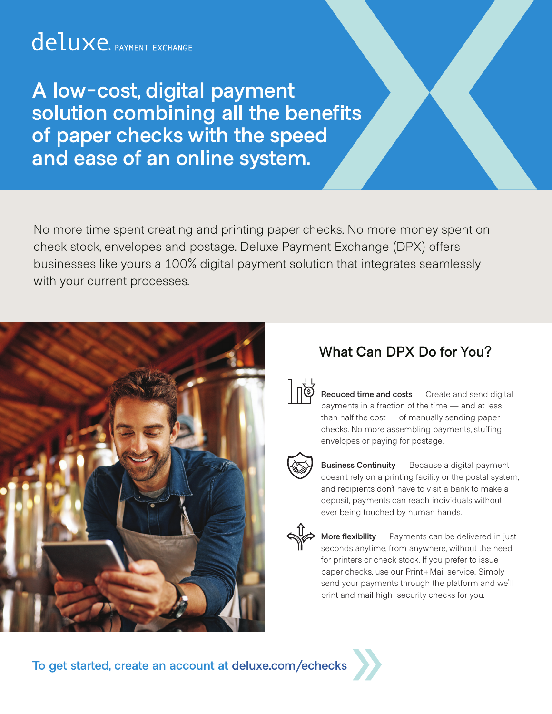### deluxe. PAYMENT EXCHANGE

**A low-cost, digital payment solution combining all the benefits of paper checks with the speed and ease of an online system.**

No more time spent creating and printing paper checks. No more money spent on check stock, envelopes and postage. Deluxe Payment Exchange (DPX) offers businesses like yours a 100% digital payment solution that integrates seamlessly with your current processes.



#### **What Can DPX Do for You?**



**Reduced time and costs** — Create and send digital payments in a fraction of the time — and at less than half the cost — of manually sending paper checks. No more assembling payments, stuffing envelopes or paying for postage.



**Business Continuity** — Because a digital payment doesn't rely on a printing facility or the postal system, and recipients don't have to visit a bank to make a deposit, payments can reach individuals without ever being touched by human hands.



**More flexibility** — Payments can be delivered in just seconds anytime, from anywhere, without the need for printers or check stock. If you prefer to issue paper checks, use our Print+Mail service. Simply send your payments through the platform and we'll print and mail high-security checks for you.

To get started, create an account at **deluxe.com/echecks**